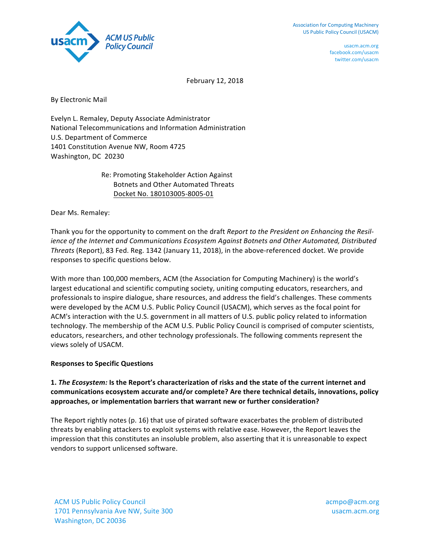

usacm.acm.org facebook.com/usacm twitter.com/usacm

February 12, 2018

By Electronic Mail

Evelyn L. Remaley, Deputy Associate Administrator National Telecommunications and Information Administration U.S. Department of Commerce 1401 Constitution Avenue NW, Room 4725 Washington, DC 20230

> Re: Promoting Stakeholder Action Against **Botnets and Other Automated Threats**  Docket No. 180103005-8005-01

Dear Ms. Remaley:

Thank you for the opportunity to comment on the draft *Report to the President on Enhancing the Resilience* of the Internet and Communications Ecosystem Against Botnets and Other Automated, Distributed Threats (Report), 83 Fed. Reg. 1342 (January 11, 2018), in the above-referenced docket. We provide responses to specific questions below.

With more than 100,000 members, ACM (the Association for Computing Machinery) is the world's largest educational and scientific computing society, uniting computing educators, researchers, and professionals to inspire dialogue, share resources, and address the field's challenges. These comments were developed by the ACM U.S. Public Policy Council (USACM), which serves as the focal point for ACM's interaction with the U.S. government in all matters of U.S. public policy related to information technology. The membership of the ACM U.S. Public Policy Council is comprised of computer scientists, educators, researchers, and other technology professionals. The following comments represent the views solely of USACM.

## **Responses to Specific Questions**

## 1. *The Ecosystem:* Is the Report's characterization of risks and the state of the current internet and communications ecosystem accurate and/or complete? Are there technical details, innovations, policy approaches, or implementation barriers that warrant new or further consideration?

The Report rightly notes (p. 16) that use of pirated software exacerbates the problem of distributed threats by enabling attackers to exploit systems with relative ease. However, the Report leaves the impression that this constitutes an insoluble problem, also asserting that it is unreasonable to expect vendors to support unlicensed software.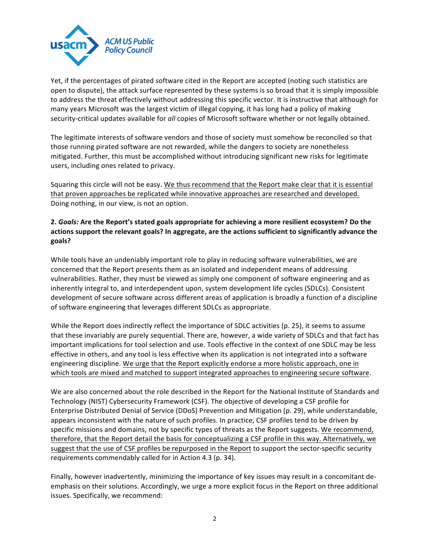

Yet, if the percentages of pirated software cited in the Report are accepted (noting such statistics are open to dispute), the attack surface represented by these systems is so broad that it is simply impossible to address the threat effectively without addressing this specific vector. It is instructive that although for many years Microsoft was the largest victim of illegal copying, it has long had a policy of making security-critical updates available for all copies of Microsoft software whether or not legally obtained.

The legitimate interests of software vendors and those of society must somehow be reconciled so that those running pirated software are not rewarded, while the dangers to society are nonetheless mitigated. Further, this must be accomplished without introducing significant new risks for legitimate users, including ones related to privacy.

Squaring this circle will not be easy. We thus recommend that the Report make clear that it is essential that proven approaches be replicated while innovative approaches are researched and developed. Doing nothing, in our view, is not an option.

## 2. *Goals:* Are the Report's stated goals appropriate for achieving a more resilient ecosystem? Do the actions support the relevant goals? In aggregate, are the actions sufficient to significantly advance the **goals?**

While tools have an undeniably important role to play in reducing software vulnerabilities, we are concerned that the Report presents them as an isolated and independent means of addressing vulnerabilities. Rather, they must be viewed as simply one component of software engineering and as inherently integral to, and interdependent upon, system development life cycles (SDLCs). Consistent development of secure software across different areas of application is broadly a function of a discipline of software engineering that leverages different SDLCs as appropriate.

While the Report does indirectly reflect the importance of SDLC activities (p. 25), it seems to assume that these invariably are purely sequential. There are, however, a wide variety of SDLCs and that fact has important implications for tool selection and use. Tools effective in the context of one SDLC may be less effective in others, and any tool is less effective when its application is not integrated into a software engineering discipline. We urge that the Report explicitly endorse a more holistic approach, one in which tools are mixed and matched to support integrated approaches to engineering secure software.

We are also concerned about the role described in the Report for the National Institute of Standards and Technology (NIST) Cybersecurity Framework (CSF). The objective of developing a CSF profile for Enterprise Distributed Denial of Service (DDoS) Prevention and Mitigation (p. 29), while understandable, appears inconsistent with the nature of such profiles. In practice, CSF profiles tend to be driven by specific missions and domains, not by specific types of threats as the Report suggests. We recommend, therefore, that the Report detail the basis for conceptualizing a CSF profile in this way. Alternatively, we suggest that the use of CSF profiles be repurposed in the Report to support the sector-specific security requirements commendably called for in Action 4.3 (p. 34).

Finally, however inadvertently, minimizing the importance of key issues may result in a concomitant deemphasis on their solutions. Accordingly, we urge a more explicit focus in the Report on three additional issues. Specifically, we recommend: